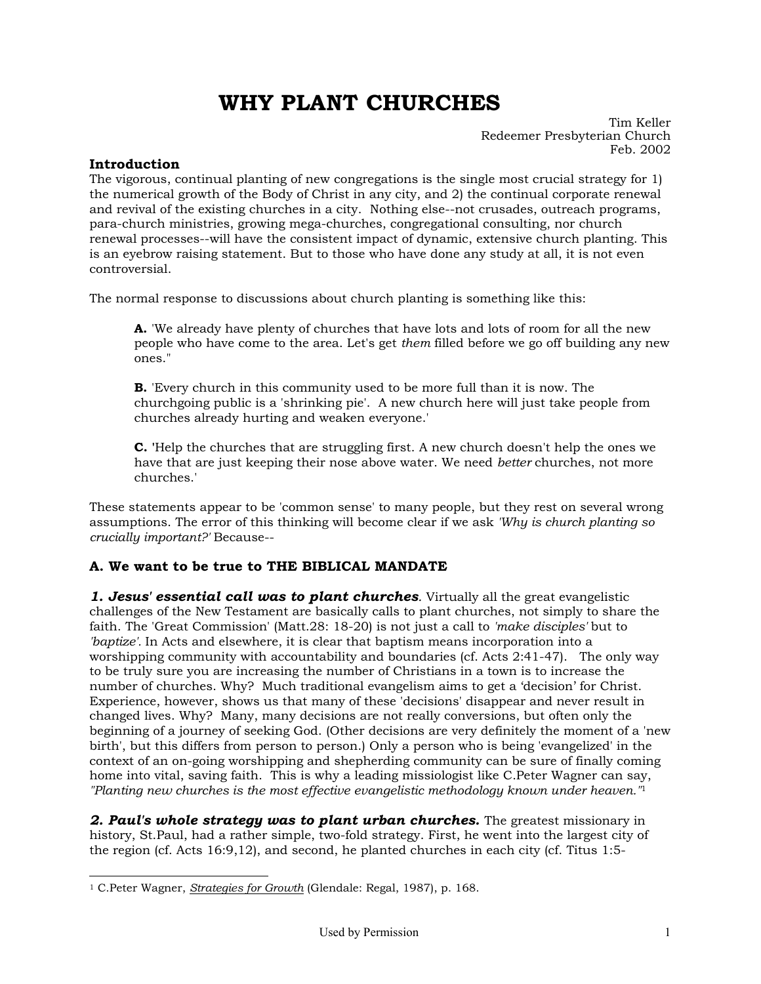# **WHY PLANT CHURCHES**

Tim Keller Redeemer Presbyterian Church Feb. 2002

#### **Introduction**

The vigorous, continual planting of new congregations is the single most crucial strategy for 1) the numerical growth of the Body of Christ in any city, and 2) the continual corporate renewal and revival of the existing churches in a city. Nothing else--not crusades, outreach programs, para-church ministries, growing mega-churches, congregational consulting, nor church renewal processes--will have the consistent impact of dynamic, extensive church planting. This is an eyebrow raising statement. But to those who have done any study at all, it is not even controversial.

The normal response to discussions about church planting is something like this:

**A.** 'We already have plenty of churches that have lots and lots of room for all the new people who have come to the area. Let's get *them* filled before we go off building any new ones."

**B.** 'Every church in this community used to be more full than it is now. The churchgoing public is a 'shrinking pie'. A new church here will just take people from churches already hurting and weaken everyone.'

**C. '**Help the churches that are struggling first. A new church doesn't help the ones we have that are just keeping their nose above water. We need *better* churches, not more churches.'

These statements appear to be 'common sense' to many people, but they rest on several wrong assumptions. The error of this thinking will become clear if we ask *'Why is church planting so crucially important?'* Because--

### **A. We want to be true to THE BIBLICAL MANDATE**

**1. Jesus' essential call was to plant churches**. Virtually all the great evangelistic challenges of the New Testament are basically calls to plant churches, not simply to share the faith. The 'Great Commission' (Matt.28: 18-20) is not just a call to *'make disciples'* but to *'baptize'.* In Acts and elsewhere, it is clear that baptism means incorporation into a worshipping community with accountability and boundaries (cf. Acts 2:41-47). The only way to be truly sure you are increasing the number of Christians in a town is to increase the number of churches. Why? Much traditional evangelism aims to get a 'decision' for Christ. Experience, however, shows us that many of these 'decisions' disappear and never result in changed lives. Why? Many, many decisions are not really conversions, but often only the beginning of a journey of seeking God. (Other decisions are very definitely the moment of a 'new birth', but this differs from person to person.) Only a person who is being 'evangelized' in the context of an on-going worshipping and shepherding community can be sure of finally coming home into vital, saving faith. This is why a leading missiologist like C.Peter Wagner can say, *"Planting new churches is the most effective evangelistic methodology known under heaven."*[1](#page-0-0)

*2. Paul's whole strategy was to plant urban churches.* The greatest missionary in history, St.Paul, had a rather simple, two-fold strategy. First, he went into the largest city of the region (cf. Acts 16:9,12), and second, he planted churches in each city (cf. Titus 1:5-

<span id="page-0-0"></span><sup>-</sup>1 C.Peter Wagner, *Strategies for Growth* (Glendale: Regal, 1987), p. 168.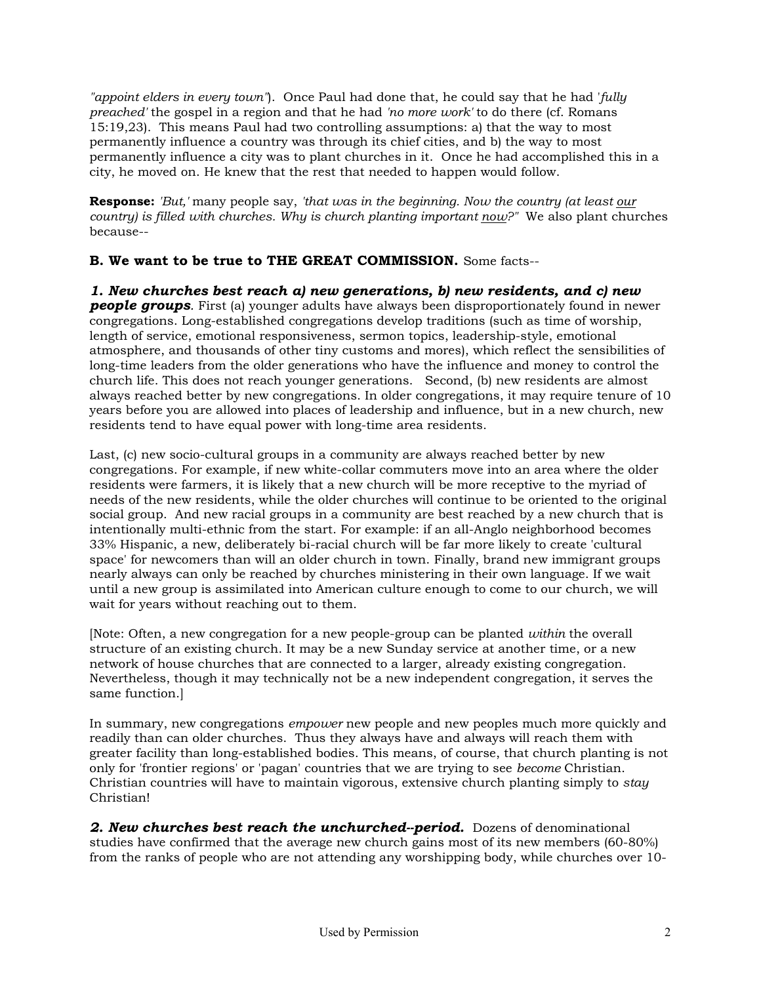*"appoint elders in every town"*). Once Paul had done that, he could say that he had '*fully preached'* the gospel in a region and that he had *'no more work'* to do there (cf. Romans 15:19,23). This means Paul had two controlling assumptions: a) that the way to most permanently influence a country was through its chief cities, and b) the way to most permanently influence a city was to plant churches in it. Once he had accomplished this in a city, he moved on. He knew that the rest that needed to happen would follow.

**Response:** *'But,'* many people say, *'that was in the beginning. Now the country (at least our country) is filled with churches. Why is church planting important now?"* We also plant churches because--

**B. We want to be true to THE GREAT COMMISSION.** Some facts--

*1. New churches best reach a) new generations, b) new residents, and c) new people groups.* First (a) younger adults have always been disproportionately found in newer congregations. Long-established congregations develop traditions (such as time of worship, length of service, emotional responsiveness, sermon topics, leadership-style, emotional atmosphere, and thousands of other tiny customs and mores), which reflect the sensibilities of long-time leaders from the older generations who have the influence and money to control the church life. This does not reach younger generations. Second, (b) new residents are almost always reached better by new congregations. In older congregations, it may require tenure of 10 years before you are allowed into places of leadership and influence, but in a new church, new residents tend to have equal power with long-time area residents.

Last, (c) new socio-cultural groups in a community are always reached better by new congregations. For example, if new white-collar commuters move into an area where the older residents were farmers, it is likely that a new church will be more receptive to the myriad of needs of the new residents, while the older churches will continue to be oriented to the original social group. And new racial groups in a community are best reached by a new church that is intentionally multi-ethnic from the start. For example: if an all-Anglo neighborhood becomes 33% Hispanic, a new, deliberately bi-racial church will be far more likely to create 'cultural space' for newcomers than will an older church in town. Finally, brand new immigrant groups nearly always can only be reached by churches ministering in their own language. If we wait until a new group is assimilated into American culture enough to come to our church, we will wait for years without reaching out to them.

[Note: Often, a new congregation for a new people-group can be planted *within* the overall structure of an existing church. It may be a new Sunday service at another time, or a new network of house churches that are connected to a larger, already existing congregation. Nevertheless, though it may technically not be a new independent congregation, it serves the same function.]

In summary, new congregations *empower* new people and new peoples much more quickly and readily than can older churches. Thus they always have and always will reach them with greater facility than long-established bodies. This means, of course, that church planting is not only for 'frontier regions' or 'pagan' countries that we are trying to see *become* Christian. Christian countries will have to maintain vigorous, extensive church planting simply to *stay* Christian!

**2. New churches best reach the unchurched--period.** Dozens of denominational studies have confirmed that the average new church gains most of its new members (60-80%) from the ranks of people who are not attending any worshipping body, while churches over 10-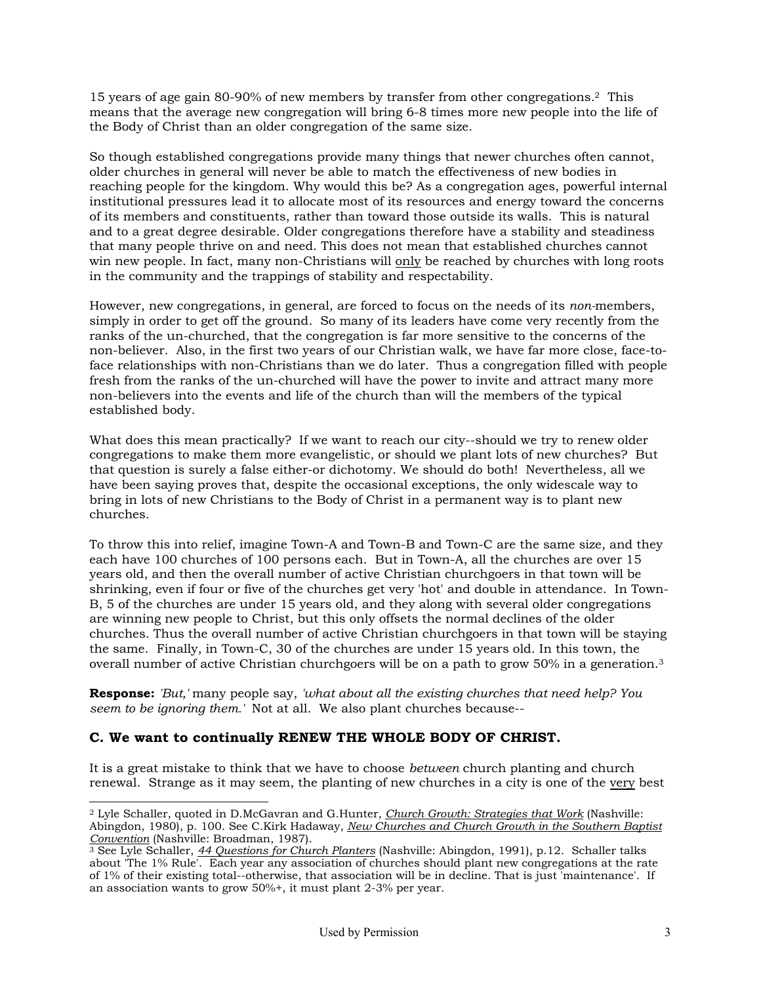15 years of age gain 80-90% of new members by transfer from other congregations.[2](#page-2-0) This means that the average new congregation will bring 6-8 times more new people into the life of the Body of Christ than an older congregation of the same size.

So though established congregations provide many things that newer churches often cannot, older churches in general will never be able to match the effectiveness of new bodies in reaching people for the kingdom. Why would this be? As a congregation ages, powerful internal institutional pressures lead it to allocate most of its resources and energy toward the concerns of its members and constituents, rather than toward those outside its walls. This is natural and to a great degree desirable. Older congregations therefore have a stability and steadiness that many people thrive on and need. This does not mean that established churches cannot win new people. In fact, many non-Christians will only be reached by churches with long roots in the community and the trappings of stability and respectability.

However, new congregations, in general, are forced to focus on the needs of its *non-*members, simply in order to get off the ground. So many of its leaders have come very recently from the ranks of the un-churched, that the congregation is far more sensitive to the concerns of the non-believer. Also, in the first two years of our Christian walk, we have far more close, face-toface relationships with non-Christians than we do later. Thus a congregation filled with people fresh from the ranks of the un-churched will have the power to invite and attract many more non-believers into the events and life of the church than will the members of the typical established body.

What does this mean practically? If we want to reach our city--should we try to renew older congregations to make them more evangelistic, or should we plant lots of new churches? But that question is surely a false either-or dichotomy. We should do both! Nevertheless, all we have been saying proves that, despite the occasional exceptions, the only widescale way to bring in lots of new Christians to the Body of Christ in a permanent way is to plant new churches.

To throw this into relief, imagine Town-A and Town-B and Town-C are the same size, and they each have 100 churches of 100 persons each. But in Town-A, all the churches are over 15 years old, and then the overall number of active Christian churchgoers in that town will be shrinking, even if four or five of the churches get very 'hot' and double in attendance. In Town-B, 5 of the churches are under 15 years old, and they along with several older congregations are winning new people to Christ, but this only offsets the normal declines of the older churches. Thus the overall number of active Christian churchgoers in that town will be staying the same. Finally, in Town-C, 30 of the churches are under 15 years old. In this town, the overall number of active Christian churchgoers will be on a path to grow 50% in a generation[.3](#page-2-1)

**Response:** *'But,'* many people say, *'what about all the existing churches that need help? You seem to be ignoring them.'* Not at all. We also plant churches because--

# **C. We want to continually RENEW THE WHOLE BODY OF CHRIST.**

-

It is a great mistake to think that we have to choose *between* church planting and church renewal. Strange as it may seem, the planting of new churches in a city is one of the very best

<span id="page-2-0"></span><sup>2</sup> Lyle Schaller, quoted in D.McGavran and G.Hunter, *Church Growth: Strategies that Work* (Nashville: Abingdon, 1980), p. 100. See C.Kirk Hadaway, *New Churches and Church Growth in the Southern Baptist*

<span id="page-2-1"></span><sup>&</sup>lt;sup>3</sup> See Lyle Schaller, 44 Questions for Church Planters (Nashville: Abingdon, 1991), p.12. Schaller talks about 'The 1% Rule'. Each year any association of churches should plant new congregations at the rate of 1% of their existing total--otherwise, that association will be in decline. That is just 'maintenance'. If an association wants to grow 50%+, it must plant 2-3% per year.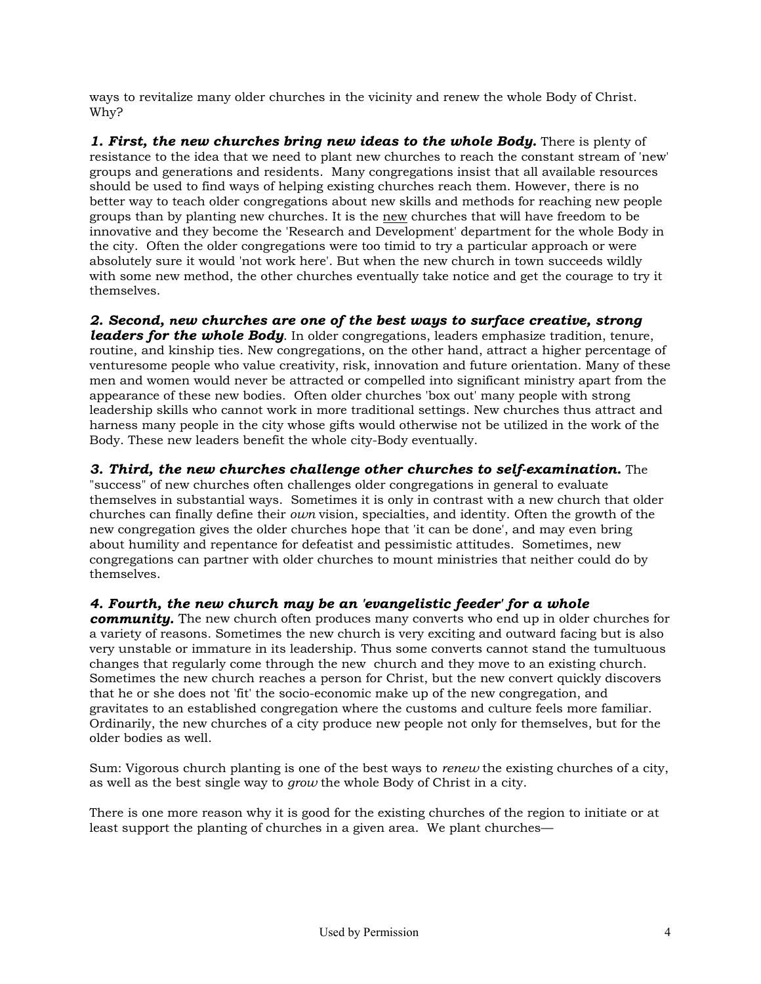ways to revitalize many older churches in the vicinity and renew the whole Body of Christ. Why?

*1. First, the new churches bring new ideas to the whole Body.* There is plenty of resistance to the idea that we need to plant new churches to reach the constant stream of 'new' groups and generations and residents. Many congregations insist that all available resources should be used to find ways of helping existing churches reach them. However, there is no better way to teach older congregations about new skills and methods for reaching new people groups than by planting new churches. It is the new churches that will have freedom to be innovative and they become the 'Research and Development' department for the whole Body in the city. Often the older congregations were too timid to try a particular approach or were absolutely sure it would 'not work here'. But when the new church in town succeeds wildly with some new method, the other churches eventually take notice and get the courage to try it themselves.

*2. Second, new churches are one of the best ways to surface creative, strong leaders for the whole Body*. In older congregations, leaders emphasize tradition, tenure, routine, and kinship ties. New congregations, on the other hand, attract a higher percentage of venturesome people who value creativity, risk, innovation and future orientation. Many of these men and women would never be attracted or compelled into significant ministry apart from the appearance of these new bodies. Often older churches 'box out' many people with strong leadership skills who cannot work in more traditional settings. New churches thus attract and harness many people in the city whose gifts would otherwise not be utilized in the work of the Body. These new leaders benefit the whole city-Body eventually.

*3. Third, the new churches challenge other churches to self-examination.* The "success" of new churches often challenges older congregations in general to evaluate themselves in substantial ways. Sometimes it is only in contrast with a new church that older churches can finally define their *own* vision, specialties, and identity. Often the growth of the new congregation gives the older churches hope that 'it can be done', and may even bring about humility and repentance for defeatist and pessimistic attitudes. Sometimes, new congregations can partner with older churches to mount ministries that neither could do by themselves.

# *4. Fourth, the new church may be an 'evangelistic feeder' for a whole*

*community.* The new church often produces many converts who end up in older churches for a variety of reasons. Sometimes the new church is very exciting and outward facing but is also very unstable or immature in its leadership. Thus some converts cannot stand the tumultuous changes that regularly come through the new church and they move to an existing church. Sometimes the new church reaches a person for Christ, but the new convert quickly discovers that he or she does not 'fit' the socio-economic make up of the new congregation, and gravitates to an established congregation where the customs and culture feels more familiar. Ordinarily, the new churches of a city produce new people not only for themselves, but for the older bodies as well.

Sum: Vigorous church planting is one of the best ways to *renew* the existing churches of a city, as well as the best single way to *grow* the whole Body of Christ in a city.

There is one more reason why it is good for the existing churches of the region to initiate or at least support the planting of churches in a given area. We plant churches—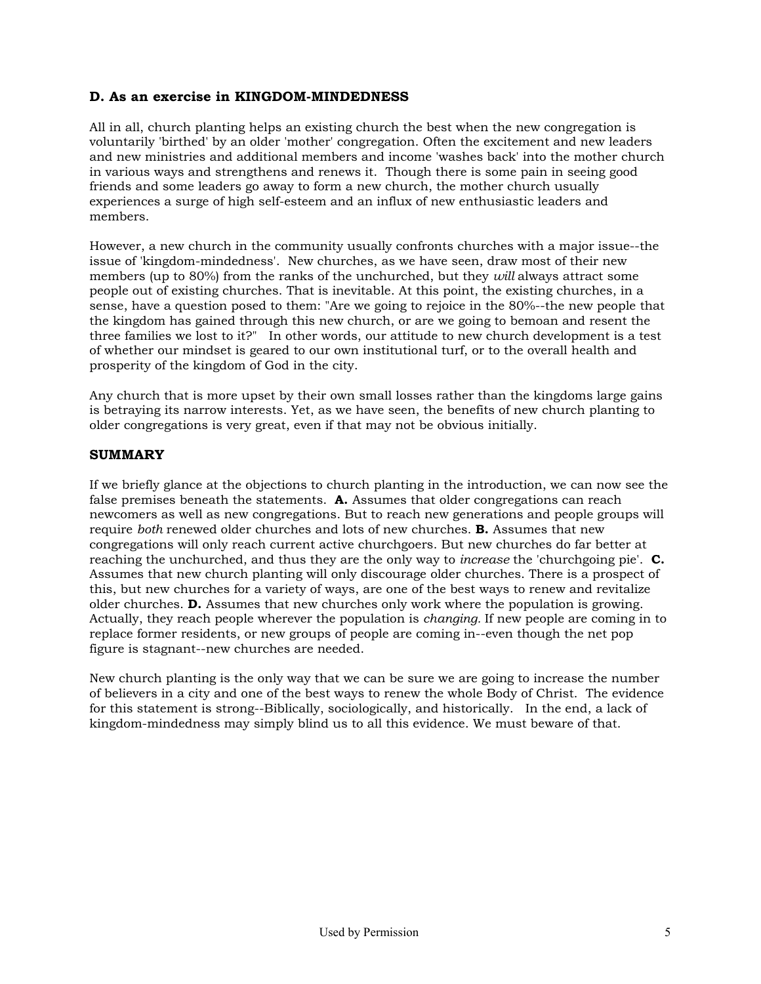## **D. As an exercise in KINGDOM-MINDEDNESS**

All in all, church planting helps an existing church the best when the new congregation is voluntarily 'birthed' by an older 'mother' congregation. Often the excitement and new leaders and new ministries and additional members and income 'washes back' into the mother church in various ways and strengthens and renews it. Though there is some pain in seeing good friends and some leaders go away to form a new church, the mother church usually experiences a surge of high self-esteem and an influx of new enthusiastic leaders and members.

However, a new church in the community usually confronts churches with a major issue--the issue of 'kingdom-mindedness'. New churches, as we have seen, draw most of their new members (up to 80%) from the ranks of the unchurched, but they *will* always attract some people out of existing churches. That is inevitable. At this point, the existing churches, in a sense, have a question posed to them: "Are we going to rejoice in the 80%--the new people that the kingdom has gained through this new church, or are we going to bemoan and resent the three families we lost to it?" In other words, our attitude to new church development is a test of whether our mindset is geared to our own institutional turf, or to the overall health and prosperity of the kingdom of God in the city.

Any church that is more upset by their own small losses rather than the kingdoms large gains is betraying its narrow interests. Yet, as we have seen, the benefits of new church planting to older congregations is very great, even if that may not be obvious initially.

### **SUMMARY**

If we briefly glance at the objections to church planting in the introduction, we can now see the false premises beneath the statements. **A.** Assumes that older congregations can reach newcomers as well as new congregations. But to reach new generations and people groups will require *both* renewed older churches and lots of new churches. **B.** Assumes that new congregations will only reach current active churchgoers. But new churches do far better at reaching the unchurched, and thus they are the only way to *increase* the 'churchgoing pie'. **C.** Assumes that new church planting will only discourage older churches. There is a prospect of this, but new churches for a variety of ways, are one of the best ways to renew and revitalize older churches. **D.** Assumes that new churches only work where the population is growing. Actually, they reach people wherever the population is *changing.* If new people are coming in to replace former residents, or new groups of people are coming in--even though the net pop figure is stagnant--new churches are needed.

New church planting is the only way that we can be sure we are going to increase the number of believers in a city and one of the best ways to renew the whole Body of Christ. The evidence for this statement is strong--Biblically, sociologically, and historically. In the end, a lack of kingdom-mindedness may simply blind us to all this evidence. We must beware of that.